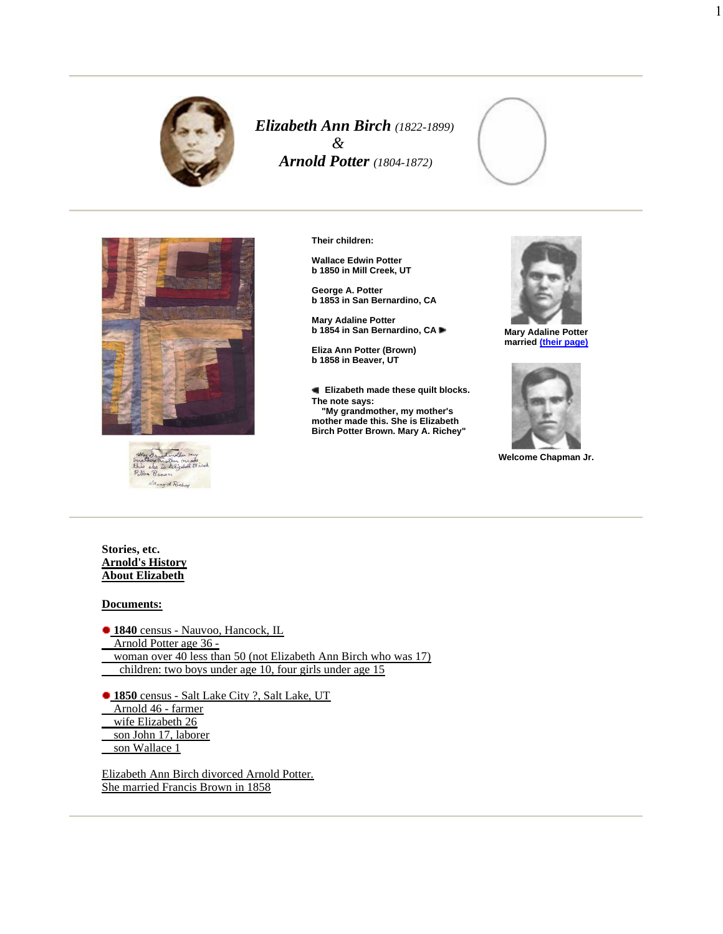

*Elizabeth Ann Birch (1822-1899) & Arnold Potter (1804-1872)*







**Their children:**

**Wallace Edwin Potter b 1850 in Mill Creek, UT**

**George A. Potter b 1853 in San Bernardino, CA**

**Mary Adaline Potter b 1854 in San Bernardino, CA**

**Eliza Ann Potter (Brown) b 1858 in Beaver, UT**

**Elizabeth made these quilt blocks. The note says: "My grandmother, my mother's mother made this. She is Elizabeth Birch Potter Brown. Mary A. Richey"**



1

**Mary Adaline Potter married (their page)**



**Welcome Chapman Jr.**

**Stories, etc. Arnold's History About Elizabeth**

## **Documents:**

**1840** census - Nauvoo, Hancock, IL Arnold Potter age 36 -

woman over 40 less than 50 (not Elizabeth Ann Birch who was 17) children: two boys under age 10, four girls under age 15

**1850** census - Salt Lake City ?, Salt Lake, UT Arnold 46 - farmer wife Elizabeth 26 son John 17, laborer son Wallace 1

Elizabeth Ann Birch divorced Arnold Potter. She married Francis Brown in 1858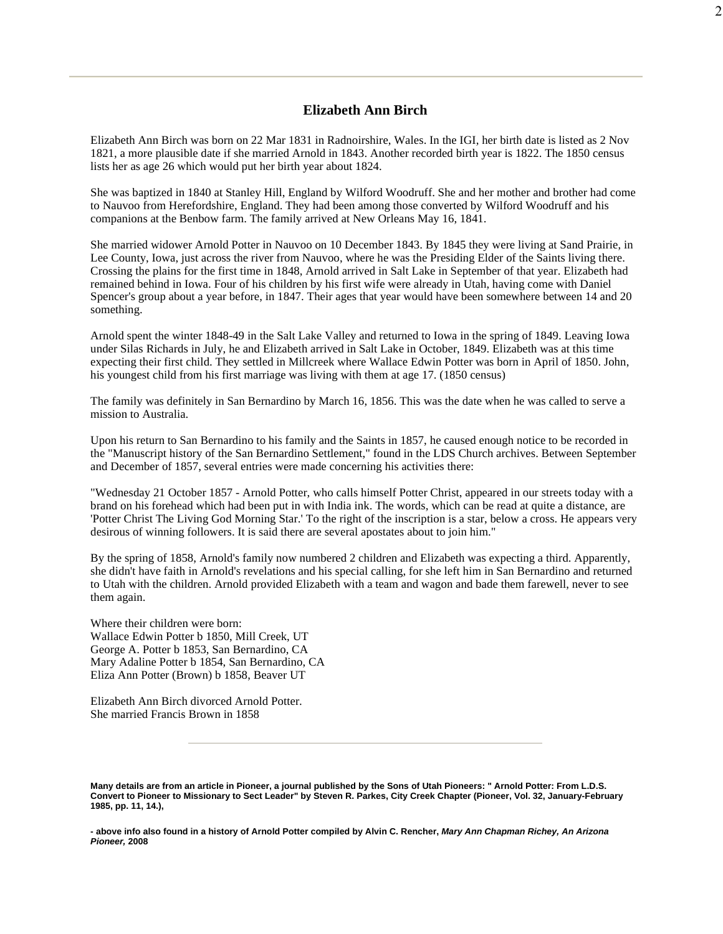## **Elizabeth Ann Birch**

Elizabeth Ann Birch was born on 22 Mar 1831 in Radnoirshire, Wales. In the IGI, her birth date is listed as 2 Nov 1821, a more plausible date if she married Arnold in 1843. Another recorded birth year is 1822. The 1850 census lists her as age 26 which would put her birth year about 1824.

She was baptized in 1840 at Stanley Hill, England by Wilford Woodruff. She and her mother and brother had come to Nauvoo from Herefordshire, England. They had been among those converted by Wilford Woodruff and his companions at the Benbow farm. The family arrived at New Orleans May 16, 1841.

She married widower Arnold Potter in Nauvoo on 10 December 1843. By 1845 they were living at Sand Prairie, in Lee County, Iowa, just across the river from Nauvoo, where he was the Presiding Elder of the Saints living there. Crossing the plains for the first time in 1848, Arnold arrived in Salt Lake in September of that year. Elizabeth had remained behind in Iowa. Four of his children by his first wife were already in Utah, having come with Daniel Spencer's group about a year before, in 1847. Their ages that year would have been somewhere between 14 and 20 something.

Arnold spent the winter 1848-49 in the Salt Lake Valley and returned to Iowa in the spring of 1849. Leaving Iowa under Silas Richards in July, he and Elizabeth arrived in Salt Lake in October, 1849. Elizabeth was at this time expecting their first child. They settled in Millcreek where Wallace Edwin Potter was born in April of 1850. John, his youngest child from his first marriage was living with them at age 17. (1850 census)

The family was definitely in San Bernardino by March 16, 1856. This was the date when he was called to serve a mission to Australia.

Upon his return to San Bernardino to his family and the Saints in 1857, he caused enough notice to be recorded in the "Manuscript history of the San Bernardino Settlement," found in the LDS Church archives. Between September and December of 1857, several entries were made concerning his activities there:

"Wednesday 21 October 1857 - Arnold Potter, who calls himself Potter Christ, appeared in our streets today with a brand on his forehead which had been put in with India ink. The words, which can be read at quite a distance, are 'Potter Christ The Living God Morning Star.' To the right of the inscription is a star, below a cross. He appears very desirous of winning followers. It is said there are several apostates about to join him."

By the spring of 1858, Arnold's family now numbered 2 children and Elizabeth was expecting a third. Apparently, she didn't have faith in Arnold's revelations and his special calling, for she left him in San Bernardino and returned to Utah with the children. Arnold provided Elizabeth with a team and wagon and bade them farewell, never to see them again.

Where their children were born: Wallace Edwin Potter b 1850, Mill Creek, UT George A. Potter b 1853, San Bernardino, CA Mary Adaline Potter b 1854, San Bernardino, CA Eliza Ann Potter (Brown) b 1858, Beaver UT

Elizabeth Ann Birch divorced Arnold Potter. She married Francis Brown in 1858

2

Many details are from an article in Pioneer, a journal published by the Sons of Utah Pioneers: " Arnold Potter: From L.D.S. Convert to Pioneer to Missionary to Sect Leader" by Steven R. Parkes, City Creek Chapter (Pioneer, Vol. 32, January-February **1985, pp. 11, 14.),**

<sup>-</sup> above info also found in a history of Arnold Potter compiled by Alvin C. Rencher, Mary Ann Chapman Richey, An Arizona **Pioneer, 2008**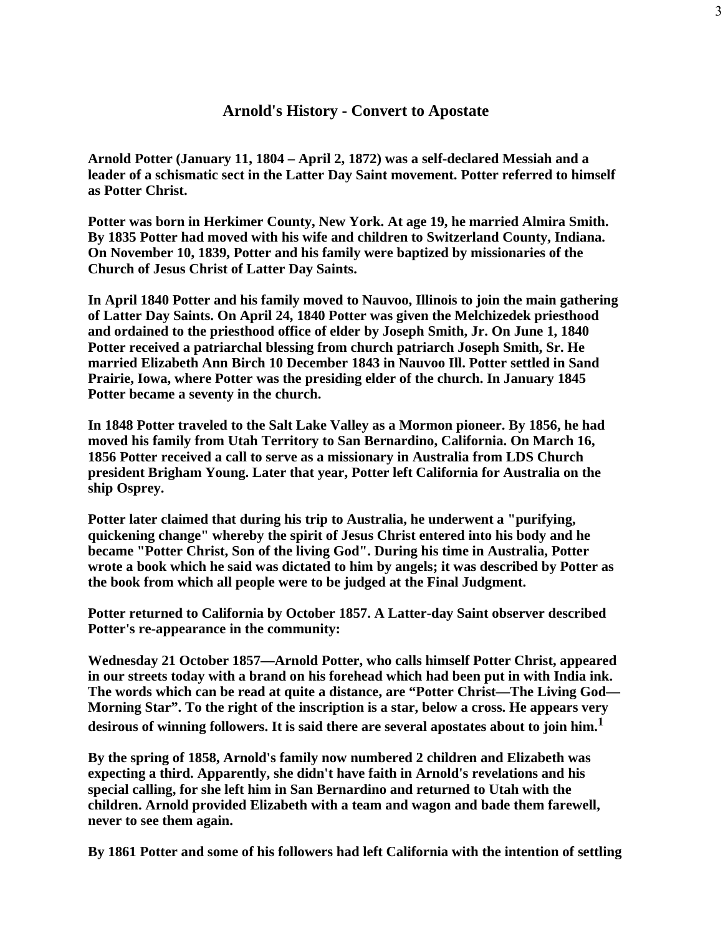## **Arnold's History - Convert to Apostate**

3

**Arnold Potter (January 11, 1804 – April 2, 1872) was a self-declared Messiah and a leader of a schismatic sect in the Latter Day Saint movement. Potter referred to himself as Potter Christ.**

**Potter was born in Herkimer County, New York. At age 19, he married Almira Smith. By 1835 Potter had moved with his wife and children to Switzerland County, Indiana. On November 10, 1839, Potter and his family were baptized by missionaries of the Church of Jesus Christ of Latter Day Saints.**

**In April 1840 Potter and his family moved to Nauvoo, Illinois to join the main gathering of Latter Day Saints. On April 24, 1840 Potter was given the Melchizedek priesthood and ordained to the priesthood office of elder by Joseph Smith, Jr. On June 1, 1840 Potter received a patriarchal blessing from church patriarch Joseph Smith, Sr. He married Elizabeth Ann Birch 10 December 1843 in Nauvoo Ill. Potter settled in Sand Prairie, Iowa, where Potter was the presiding elder of the church. In January 1845 Potter became a seventy in the church.**

**In 1848 Potter traveled to the Salt Lake Valley as a Mormon pioneer. By 1856, he had moved his family from Utah Territory to San Bernardino, California. On March 16, 1856 Potter received a call to serve as a missionary in Australia from LDS Church president Brigham Young. Later that year, Potter left California for Australia on the ship Osprey.**

**Potter later claimed that during his trip to Australia, he underwent a "purifying, quickening change" whereby the spirit of Jesus Christ entered into his body and he became "Potter Christ, Son of the living God". During his time in Australia, Potter wrote a book which he said was dictated to him by angels; it was described by Potter as the book from which all people were to be judged at the Final Judgment.**

**Potter returned to California by October 1857. A Latter-day Saint observer described Potter's re-appearance in the community:**

**Wednesday 21 October 1857—Arnold Potter, who calls himself Potter Christ, appeared in our streets today with a brand on his forehead which had been put in with India ink. The words which can be read at quite a distance, are "Potter Christ—The Living God— Morning Star". To the right of the inscription is a star, below a cross. He appears very desirous of winning followers. It is said there are several apostates about to join him. 1**

**By the spring of 1858, Arnold's family now numbered 2 children and Elizabeth was expecting a third. Apparently, she didn't have faith in Arnold's revelations and his special calling, for she left him in San Bernardino and returned to Utah with the children. Arnold provided Elizabeth with a team and wagon and bade them farewell, never to see them again.**

**By 1861 Potter and some of his followers had left California with the intention of settling**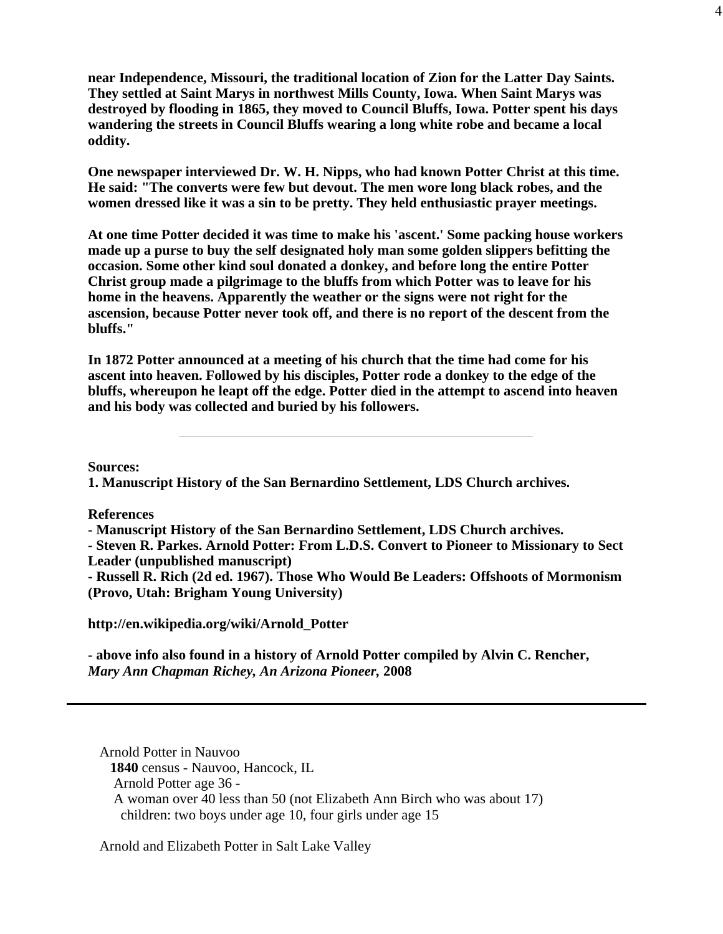**near Independence, Missouri, the traditional location of Zion for the Latter Day Saints. They settled at Saint Marys in northwest Mills County, Iowa. When Saint Marys was destroyed by flooding in 1865, they moved to Council Bluffs, Iowa. Potter spent his days wandering the streets in Council Bluffs wearing a long white robe and became a local oddity.**

4

**One newspaper interviewed Dr. W. H. Nipps, who had known Potter Christ at this time. He said: "The converts were few but devout. The men wore long black robes, and the women dressed like it was a sin to be pretty. They held enthusiastic prayer meetings.**

**At one time Potter decided it was time to make his 'ascent.' Some packing house workers made up a purse to buy the self designated holy man some golden slippers befitting the occasion. Some other kind soul donated a donkey, and before long the entire Potter Christ group made a pilgrimage to the bluffs from which Potter was to leave for his home in the heavens. Apparently the weather or the signs were not right for the ascension, because Potter never took off, and there is no report of the descent from the bluffs."**

**In 1872 Potter announced at a meeting of his church that the time had come for his ascent into heaven. Followed by his disciples, Potter rode a donkey to the edge of the bluffs, whereupon he leapt off the edge. Potter died in the attempt to ascend into heaven and his body was collected and buried by his followers.**

**Sources:**

**1. Manuscript History of the San Bernardino Settlement, LDS Church archives.**

**References**

**- Manuscript History of the San Bernardino Settlement, LDS Church archives.**

**- Steven R. Parkes. Arnold Potter: From L.D.S. Convert to Pioneer to Missionary to Sect Leader (unpublished manuscript)**

**- Russell R. Rich (2d ed. 1967). Those Who Would Be Leaders: Offshoots of Mormonism (Provo, Utah: Brigham Young University)**

**http://en.wikipedia.org/wiki/Arnold\_Potter**

**- above info also found in a history of Arnold Potter compiled by Alvin C. Rencher,** *Mary Ann Chapman Richey, An Arizona Pioneer,* **2008**

Arnold Potter in Nauvoo **1840** census - Nauvoo, Hancock, IL Arnold Potter age 36 - A woman over 40 less than 50 (not Elizabeth Ann Birch who was about 17) children: two boys under age 10, four girls under age 15

Arnold and Elizabeth Potter in Salt Lake Valley